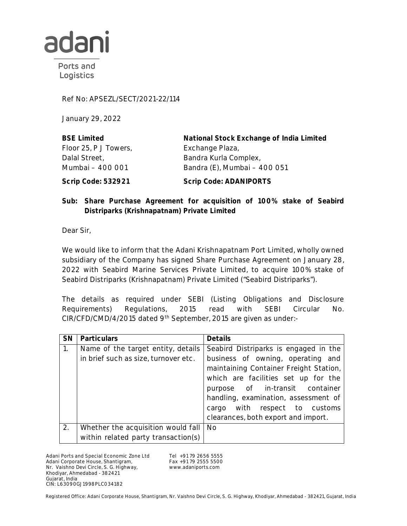

Ports and Logistics

Ref No: APSEZL/SECT/2021-22/114

January 29, 2022

| <b>BSE Limited</b>    | National Stock Exchange of India Limited |
|-----------------------|------------------------------------------|
| Floor 25, P J Towers, | Exchange Plaza,                          |
| Dalal Street,         | Bandra Kurla Complex,                    |
| Mumbai - 400 001      | Bandra (E), Mumbai - 400 051             |
| Scrip Code: 532921    | <b>Scrip Code: ADANIPORTS</b>            |

## **Sub: Share Purchase Agreement for acquisition of 100% stake of Seabird Distriparks (Krishnapatnam) Private Limited**

Dear Sir,

We would like to inform that the Adani Krishnapatnam Port Limited, wholly owned subsidiary of the Company has signed Share Purchase Agreement on January 28, 2022 with Seabird Marine Services Private Limited, to acquire 100% stake of Seabird Distriparks (Krishnapatnam) Private Limited ("Seabird Distriparks").

The details as required under SEBI (Listing Obligations and Disclosure Requirements) Regulations, 2015 read with SEBI Circular No. CIR/CFD/CMD/4/2015 dated 9<sup>th</sup> September, 2015 are given as under:-

| <b>SN</b> | <b>Particulars</b>                   | <b>Details</b>                         |
|-----------|--------------------------------------|----------------------------------------|
| 1.        | Name of the target entity, details   | Seabird Distriparks is engaged in the  |
|           | in brief such as size, turnover etc. | business of owning, operating and      |
|           |                                      | maintaining Container Freight Station, |
|           |                                      | which are facilities set up for the    |
|           |                                      | purpose of in-transit container        |
|           |                                      | handling, examination, assessment of   |
|           |                                      | cargo with respect to customs          |
|           |                                      | clearances, both export and import.    |
| 2.        | Whether the acquisition would fall   | <b>No</b>                              |
|           | within related party transaction(s)  |                                        |

Adani Ports and Special Economic Zone Ltd Adani Corporate House, Shantigram, Nr. Vaishno Devi Circle, S. G. Highway, Khodiyar, Ahmedabad - 382421 Gujarat, India CIN: L63090GJ1998PLC034182

Tel +91 79 2656 5555 Fax +91 79 2555 5500 www.adaniports.com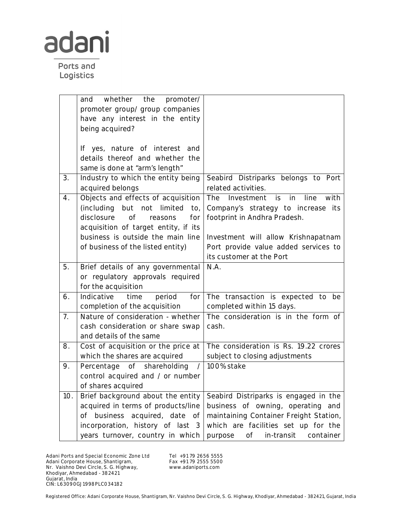

Ports and Logistics

|                  | whether the<br>promoter/<br>and              |                                                |
|------------------|----------------------------------------------|------------------------------------------------|
|                  | promoter group/ group companies              |                                                |
|                  | have any interest in the entity              |                                                |
|                  | being acquired?                              |                                                |
|                  |                                              |                                                |
|                  | If yes, nature of interest<br>and            |                                                |
|                  | details thereof and whether the              |                                                |
|                  | same is done at "arm's length"               |                                                |
| 3.               | Industry to which the entity being           | Seabird Distriparks belongs to Port            |
|                  | acquired belongs                             | related activities.                            |
| 4.               | Objects and effects of acquisition           | in<br>line<br>The<br>Investment<br>is.<br>with |
|                  | (including<br>but<br>not<br>limited<br>to,   | Company's strategy to increase its             |
|                  | disclosure<br>of<br>for<br>reasons           | footprint in Andhra Pradesh.                   |
|                  | acquisition of target entity, if its         |                                                |
|                  | business is outside the main line            | Investment will allow Krishnapatnam            |
|                  | of business of the listed entity)            | Port provide value added services to           |
|                  |                                              | its customer at the Port                       |
| 5.               | Brief details of any governmental            | N.A.                                           |
|                  | or regulatory approvals required             |                                                |
|                  | for the acquisition                          |                                                |
| 6.               | Indicative<br>time<br>period<br>for          | The transaction is expected to<br>be           |
|                  | completion of the acquisition                | completed within 15 days.                      |
| $\overline{7}$ . | Nature of consideration - whether            | The consideration is in the form of            |
|                  | cash consideration or share swap             | cash.                                          |
|                  | and details of the same                      |                                                |
| 8.               | Cost of acquisition or the price at          | The consideration is Rs. 19.22 crores          |
|                  | which the shares are acquired                | subject to closing adjustments                 |
| 9.               | shareholding<br>Percentage<br>of<br>$\prime$ | 100% stake                                     |
|                  | control acquired and / or number             |                                                |
|                  | of shares acquired                           |                                                |
| 10.              | Brief background about the entity            | Seabird Distriparks is engaged in the          |
|                  | acquired in terms of products/line           | business of owning, operating and              |
|                  | acquired, date<br>of business<br>of          | maintaining Container Freight Station,         |
|                  | incorporation, history of last 3             | which are facilities set up for the            |
|                  | years turnover, country in which             | of<br>in-transit<br>container<br>purpose       |

Adani Ports and Special Economic Zone Ltd Adani Corporate House, Shantigram, Nr. Vaishno Devi Circle, S. G. Highway, Khodiyar, Ahmedabad - 382421 Gujarat, India CIN: L63090GJ1998PLC034182

Tel +91 79 2656 5555 Fax +91 79 2555 5500 www.adaniports.com